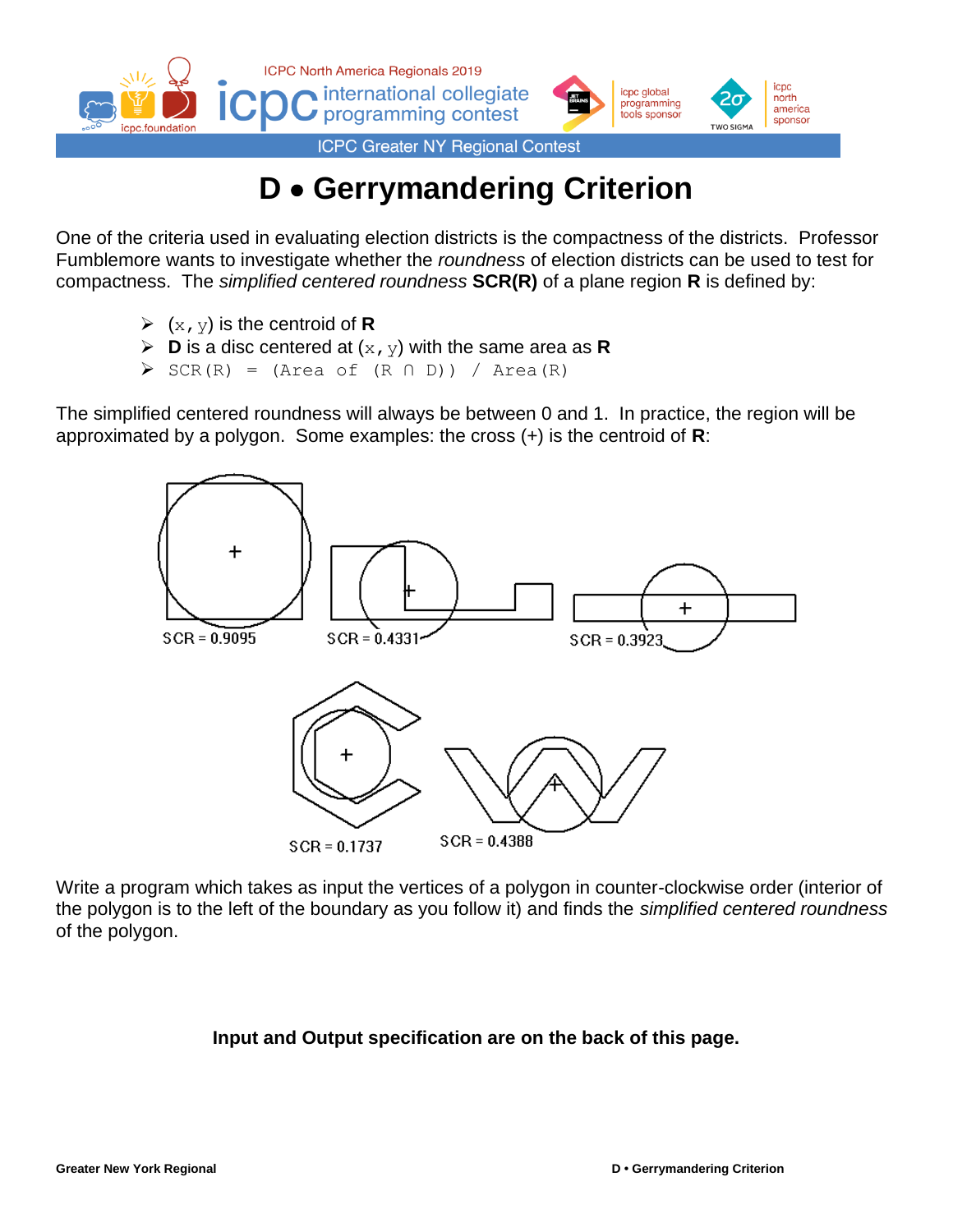



**ICPC Greater NY Regional Contest** 

# **D** • **Gerrymandering Criterion**

One of the criteria used in evaluating election districts is the compactness of the districts. Professor Fumblemore wants to investigate whether the *roundness* of election districts can be used to test for compactness. The *simplified centered roundness* **SCR(R)** of a plane region **R** is defined by:

- $\triangleright$  (x, y) is the centroid of **R**
- $\triangleright$  **D** is a disc centered at  $(x, y)$  with the same area as **R**
- $\triangleright$  SCR(R) = (Area of (R  $\cap$  D)) / Area(R)

The simplified centered roundness will always be between 0 and 1. In practice, the region will be approximated by a polygon. Some examples: the cross (+) is the centroid of **R**:



Write a program which takes as input the vertices of a polygon in counter-clockwise order (interior of the polygon is to the left of the boundary as you follow it) and finds the *simplified centered roundness* of the polygon.

## **Input and Output specification are on the back of this page.**